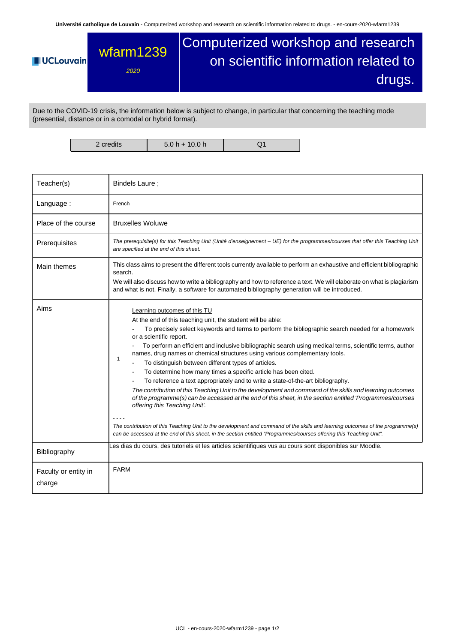**Université catholique de Louvain** - Computerized workshop and research on scientific information related to drugs. - en-cours-2020-wfarm1239

## Computerized workshop and research wfarm1239 on scientific information related to **UCLouvain** 2020 drugs.

Due to the COVID-19 crisis, the information below is subject to change, in particular that concerning the teaching mode (presential, distance or in a comodal or hybrid format).

2 credits | 5.0 h + 10.0 h | Q1

| Teacher(s)                     | Bindels Laure;                                                                                                                                                                                                                                                                                                                                                                                                                                                                                                                                                                                                                                                                                                                                                                                                                                                                                                                                                                                                                                                                                                                                                       |  |  |  |  |
|--------------------------------|----------------------------------------------------------------------------------------------------------------------------------------------------------------------------------------------------------------------------------------------------------------------------------------------------------------------------------------------------------------------------------------------------------------------------------------------------------------------------------------------------------------------------------------------------------------------------------------------------------------------------------------------------------------------------------------------------------------------------------------------------------------------------------------------------------------------------------------------------------------------------------------------------------------------------------------------------------------------------------------------------------------------------------------------------------------------------------------------------------------------------------------------------------------------|--|--|--|--|
| Language:                      | French                                                                                                                                                                                                                                                                                                                                                                                                                                                                                                                                                                                                                                                                                                                                                                                                                                                                                                                                                                                                                                                                                                                                                               |  |  |  |  |
| Place of the course            | <b>Bruxelles Woluwe</b>                                                                                                                                                                                                                                                                                                                                                                                                                                                                                                                                                                                                                                                                                                                                                                                                                                                                                                                                                                                                                                                                                                                                              |  |  |  |  |
| Prerequisites                  | The prerequisite(s) for this Teaching Unit (Unité d'enseignement - UE) for the programmes/courses that offer this Teaching Unit<br>are specified at the end of this sheet.                                                                                                                                                                                                                                                                                                                                                                                                                                                                                                                                                                                                                                                                                                                                                                                                                                                                                                                                                                                           |  |  |  |  |
| Main themes                    | This class aims to present the different tools currently available to perform an exhaustive and efficient bibliographic<br>search.<br>We will also discuss how to write a bibliography and how to reference a text. We will elaborate on what is plagiarism<br>and what is not. Finally, a software for automated bibliography generation will be introduced.                                                                                                                                                                                                                                                                                                                                                                                                                                                                                                                                                                                                                                                                                                                                                                                                        |  |  |  |  |
| Aims                           | Learning outcomes of this TU<br>At the end of this teaching unit, the student will be able:<br>To precisely select keywords and terms to perform the bibliographic search needed for a homework<br>or a scientific report.<br>To perform an efficient and inclusive bibliographic search using medical terms, scientific terms, author<br>names, drug names or chemical structures using various complementary tools.<br>$\mathbf{1}$<br>To distinguish between different types of articles.<br>To determine how many times a specific article has been cited.<br>To reference a text appropriately and to write a state-of-the-art bibliography.<br>The contribution of this Teaching Unit to the development and command of the skills and learning outcomes<br>of the programme(s) can be accessed at the end of this sheet, in the section entitled 'Programmes/courses<br>offering this Teaching Unit'.<br>The contribution of this Teaching Unit to the development and command of the skills and learning outcomes of the programme(s)<br>can be accessed at the end of this sheet, in the section entitled "Programmes/courses offering this Teaching Unit". |  |  |  |  |
| Bibliography                   | Les dias du cours, des tutoriels et les articles scientifiques vus au cours sont disponibles sur Moodle.                                                                                                                                                                                                                                                                                                                                                                                                                                                                                                                                                                                                                                                                                                                                                                                                                                                                                                                                                                                                                                                             |  |  |  |  |
| Faculty or entity in<br>charge | <b>FARM</b>                                                                                                                                                                                                                                                                                                                                                                                                                                                                                                                                                                                                                                                                                                                                                                                                                                                                                                                                                                                                                                                                                                                                                          |  |  |  |  |